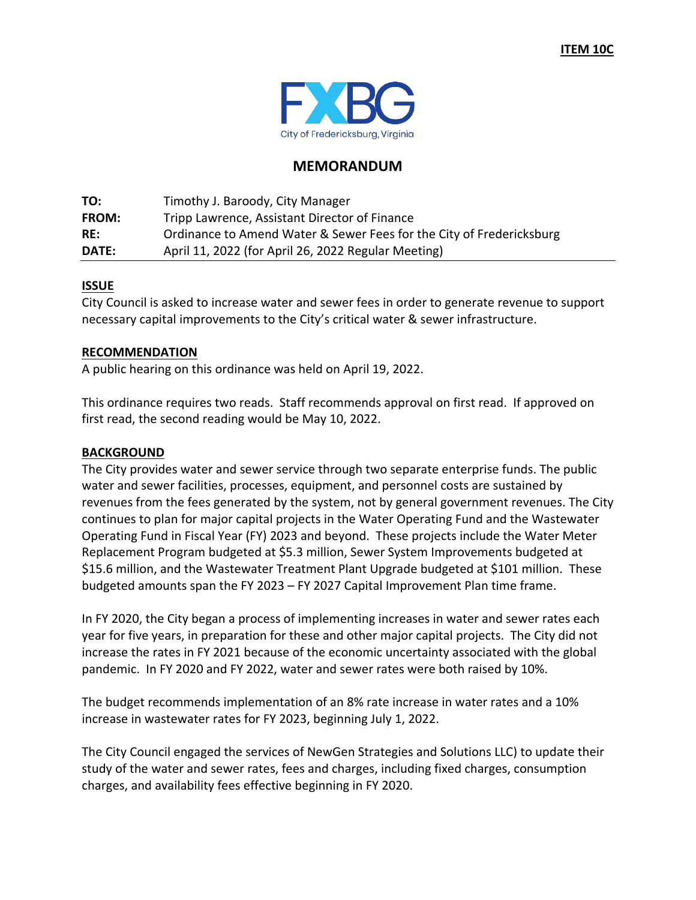

## **MEMORANDUM**

| TO:          | Timothy J. Baroody, City Manager                                     |
|--------------|----------------------------------------------------------------------|
| <b>FROM:</b> | Tripp Lawrence, Assistant Director of Finance                        |
| RE:          | Ordinance to Amend Water & Sewer Fees for the City of Fredericksburg |
| DATE:        | April 11, 2022 (for April 26, 2022 Regular Meeting)                  |

#### **ISSUE**

City Council is asked to increase water and sewer fees in order to generate revenue to support necessary capital improvements to the City's critical water & sewer infrastructure.

#### **RECOMMENDATION**

A public hearing on this ordinance was held on April 19, 2022.

This ordinance requires two reads. Staff recommends approval on first read. If approved on first read, the second reading would be May 10, 2022.

#### **BACKGROUND**

The City provides water and sewer service through two separate enterprise funds. The public water and sewer facilities, processes, equipment, and personnel costs are sustained by revenues from the fees generated by the system, not by general government revenues. The City continues to plan for major capital projects in the Water Operating Fund and the Wastewater Operating Fund in Fiscal Year (FY) 2023 and beyond. These projects include the Water Meter Replacement Program budgeted at \$5.3 million, Sewer System Improvements budgeted at \$15.6 million, and the Wastewater Treatment Plant Upgrade budgeted at \$101 million. These budgeted amounts span the FY 2023 – FY 2027 Capital Improvement Plan time frame.

In FY 2020, the City began a process of implementing increases in water and sewer rates each year for five years, in preparation for these and other major capital projects. The City did not increase the rates in FY 2021 because of the economic uncertainty associated with the global pandemic. In FY 2020 and FY 2022, water and sewer rates were both raised by 10%.

The budget recommends implementation of an 8% rate increase in water rates and a 10% increase in wastewater rates for FY 2023, beginning July 1, 2022.

The City Council engaged the services of NewGen Strategies and Solutions LLC) to update their study of the water and sewer rates, fees and charges, including fixed charges, consumption charges, and availability fees effective beginning in FY 2020.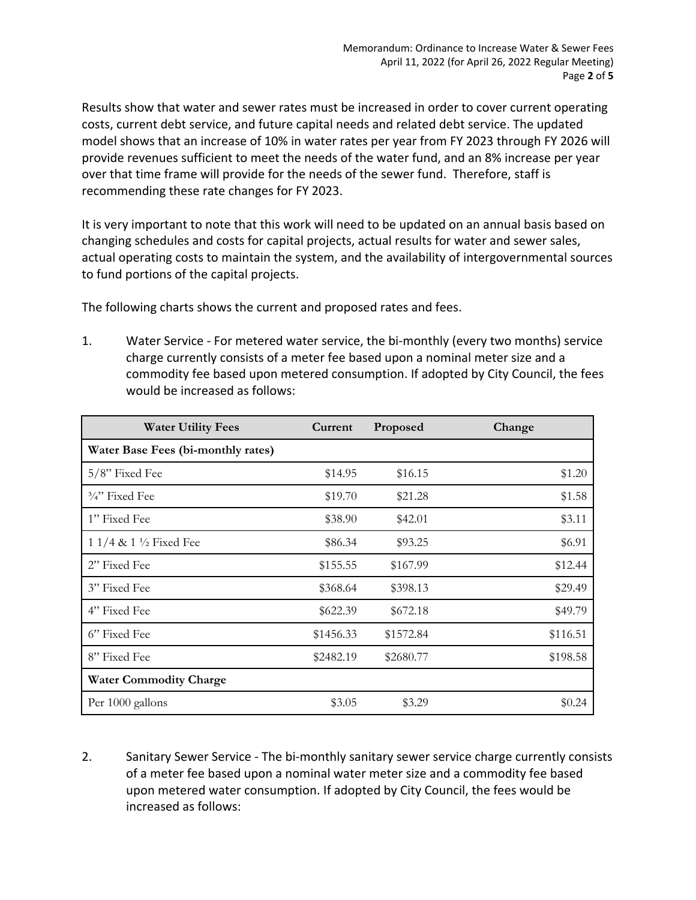Results show that water and sewer rates must be increased in order to cover current operating costs, current debt service, and future capital needs and related debt service. The updated model shows that an increase of 10% in water rates per year from FY 2023 through FY 2026 will provide revenues sufficient to meet the needs of the water fund, and an 8% increase per year over that time frame will provide for the needs of the sewer fund. Therefore, staff is recommending these rate changes for FY 2023.

It is very important to note that this work will need to be updated on an annual basis based on changing schedules and costs for capital projects, actual results for water and sewer sales, actual operating costs to maintain the system, and the availability of intergovernmental sources to fund portions of the capital projects.

The following charts shows the current and proposed rates and fees.

1. Water Service - For metered water service, the bi-monthly (every two months) service charge currently consists of a meter fee based upon a nominal meter size and a commodity fee based upon metered consumption. If adopted by City Council, the fees would be increased as follows:

| <b>Water Utility Fees</b>          | Current   | Proposed  | Change   |
|------------------------------------|-----------|-----------|----------|
| Water Base Fees (bi-monthly rates) |           |           |          |
| 5/8" Fixed Fee                     | \$14.95   | \$16.15   | \$1.20   |
| $\frac{3}{4}$ " Fixed Fee          | \$19.70   | \$21.28   | \$1.58   |
| 1" Fixed Fee                       | \$38.90   | \$42.01   | \$3.11   |
| 1 1/4 & 1 $\frac{1}{2}$ Fixed Fee  | \$86.34   | \$93.25   | \$6.91   |
| 2" Fixed Fee                       | \$155.55  | \$167.99  | \$12.44  |
| 3" Fixed Fee                       | \$368.64  | \$398.13  | \$29.49  |
| 4" Fixed Fee                       | \$622.39  | \$672.18  | \$49.79  |
| 6" Fixed Fee                       | \$1456.33 | \$1572.84 | \$116.51 |
| 8" Fixed Fee                       | \$2482.19 | \$2680.77 | \$198.58 |
| <b>Water Commodity Charge</b>      |           |           |          |
| Per 1000 gallons                   | \$3.05    | \$3.29    | \$0.24   |

2. Sanitary Sewer Service - The bi-monthly sanitary sewer service charge currently consists of a meter fee based upon a nominal water meter size and a commodity fee based upon metered water consumption. If adopted by City Council, the fees would be increased as follows: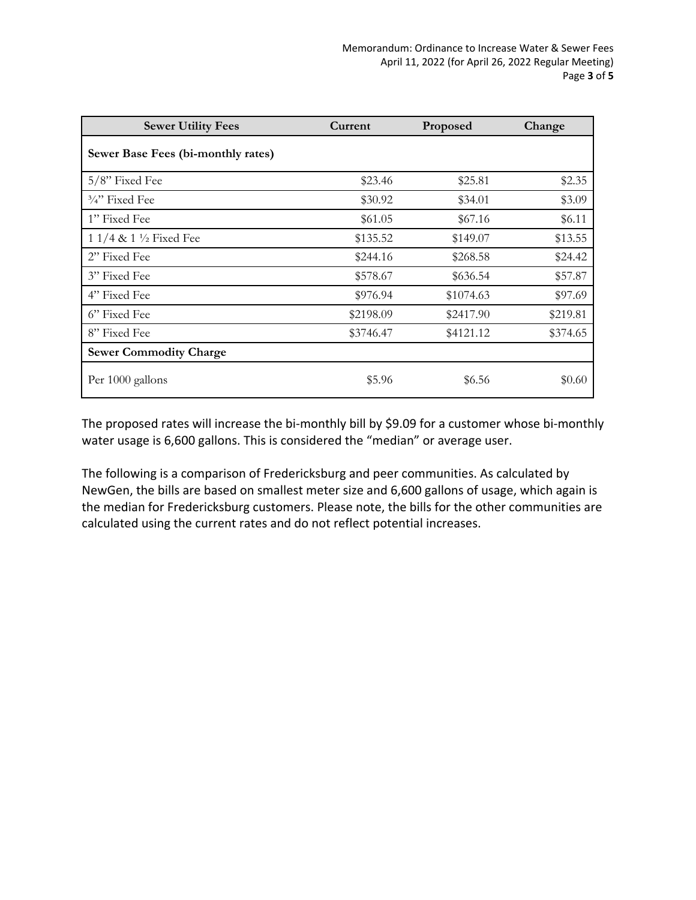| <b>Sewer Utility Fees</b>          | Current   | Proposed  | Change   |
|------------------------------------|-----------|-----------|----------|
| Sewer Base Fees (bi-monthly rates) |           |           |          |
| 5/8" Fixed Fee                     | \$23.46   | \$25.81   | \$2.35   |
| $\frac{3}{4}$ " Fixed Fee          | \$30.92   | \$34.01   | \$3.09   |
| 1" Fixed Fee                       | \$61.05   | \$67.16   | \$6.11   |
| 1 1/4 & 1 $\frac{1}{2}$ Fixed Fee  | \$135.52  | \$149.07  | \$13.55  |
| 2" Fixed Fee                       | \$244.16  | \$268.58  | \$24.42  |
| 3" Fixed Fee                       | \$578.67  | \$636.54  | \$57.87  |
| 4" Fixed Fee                       | \$976.94  | \$1074.63 | \$97.69  |
| 6" Fixed Fee                       | \$2198.09 | \$2417.90 | \$219.81 |
| 8" Fixed Fee                       | \$3746.47 | \$4121.12 | \$374.65 |
| <b>Sewer Commodity Charge</b>      |           |           |          |
| Per 1000 gallons                   | \$5.96    | \$6.56    | \$0.60   |

The proposed rates will increase the bi-monthly bill by \$9.09 for a customer whose bi-monthly water usage is 6,600 gallons. This is considered the "median" or average user.

The following is a comparison of Fredericksburg and peer communities. As calculated by NewGen, the bills are based on smallest meter size and 6,600 gallons of usage, which again is the median for Fredericksburg customers. Please note, the bills for the other communities are calculated using the current rates and do not reflect potential increases.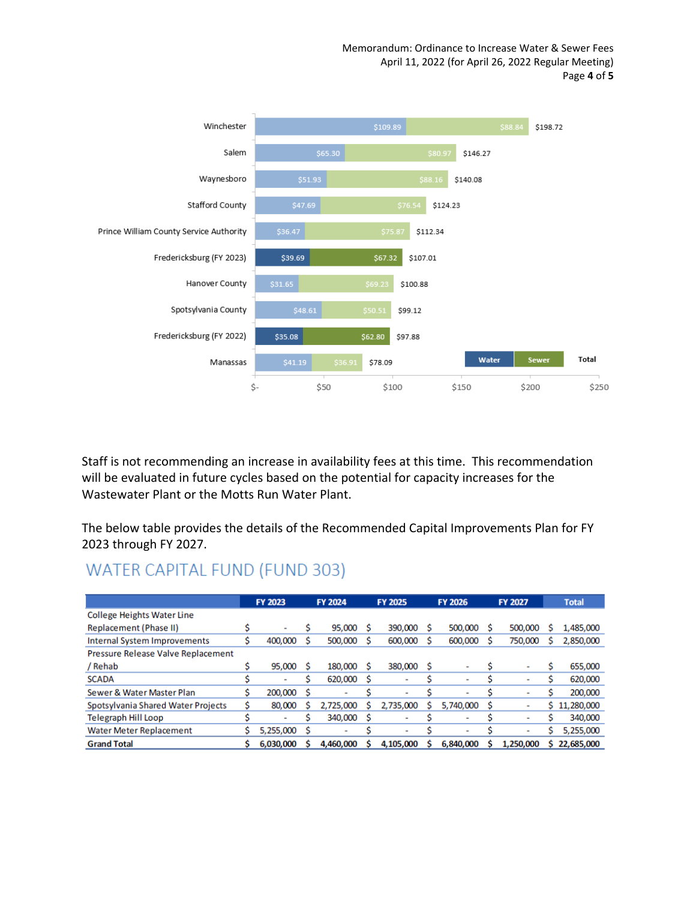Memorandum: Ordinance to Increase Water & Sewer Fees April 11, 2022 (for April 26, 2022 Regular Meeting) Page **4** of **5**



Staff is not recommending an increase in availability fees at this time. This recommendation will be evaluated in future cycles based on the potential for capacity increases for the Wastewater Plant or the Motts Run Water Plant.

The below table provides the details of the Recommended Capital Improvements Plan for FY 2023 through FY 2027.

# WATER CAPITAL FUND (FUND 303)

|                                     |  | FY 2023      |    | <b>FY 2024</b>           |     | FY 2025                      |   | <b>FY 2026</b>           |   | FY 2027                  |   | <b>Total</b> |
|-------------------------------------|--|--------------|----|--------------------------|-----|------------------------------|---|--------------------------|---|--------------------------|---|--------------|
| <b>College Heights Water Line</b>   |  |              |    |                          |     |                              |   |                          |   |                          |   |              |
| Replacement (Phase II)              |  | $\mathbf{r}$ |    | 95,000                   | - S | 390,000                      | s | 500,000                  | s | 500,000                  |   | 1,485,000    |
| <b>Internal System Improvements</b> |  | 400,000      |    | 500,000                  | - S | 600,000                      | S | 600,000                  | S | 750,000                  |   | 2,850,000    |
| Pressure Release Valve Replacement  |  |              |    |                          |     |                              |   |                          |   |                          |   |              |
| / Rehab                             |  | 95,000       |    | 180,000                  | - S | 380,000                      | s |                          |   | -                        |   | 655,000      |
| <b>SCADA</b>                        |  |              |    | 620,000                  | - S | $\qquad \qquad \blacksquare$ |   | $\,$                     |   | ٠                        |   | 620,000      |
| Sewer & Water Master Plan           |  | 200,000      | S  | $\overline{\phantom{a}}$ |     | $\overline{\phantom{a}}$     |   |                          |   | $\overline{\phantom{a}}$ |   | 200,000      |
| Spotsylvania Shared Water Projects  |  | 80,000       |    | 2,725,000                |     | 2,735,000                    | s | 5,740,000                | s | ۰                        | s | 11,280,000   |
| Telegraph Hill Loop                 |  |              |    | 340,000                  | - S | ۰                            |   | -                        |   | $\blacksquare$           |   | 340,000      |
| <b>Water Meter Replacement</b>      |  | 5,255,000    | \$ | $\blacksquare$           |     | $\qquad \qquad \blacksquare$ |   | $\overline{\phantom{0}}$ |   | $\overline{\phantom{a}}$ |   | 5,255,000    |
| <b>Grand Total</b>                  |  | 6,030,000    |    | 4.460.000                |     | 4,105,000                    |   | 6.840.000                |   | 1,250,000                |   | 22,685,000   |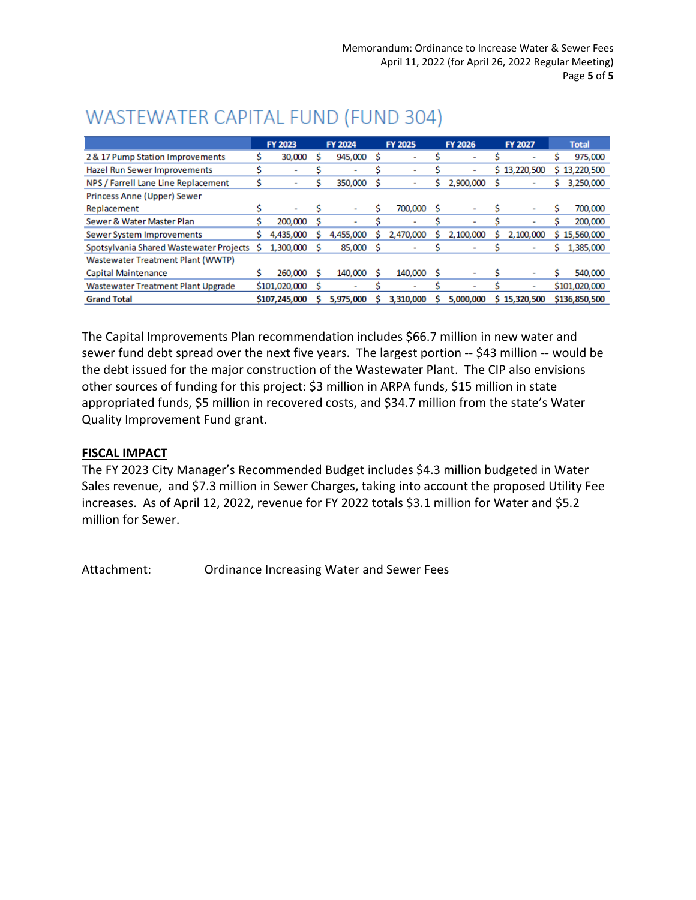|                                           |   | FY 2023       |   | <b>FY 2024</b> |     | <b>FY 2025</b> |   | <b>FY 2026</b>           | <b>FY 2027</b> |   | <b>Total</b>  |
|-------------------------------------------|---|---------------|---|----------------|-----|----------------|---|--------------------------|----------------|---|---------------|
| 2 & 17 Pump Station Improvements          |   | 30,000        |   | 945,000        | s   |                |   | -                        |                |   | 975,000       |
| Hazel Run Sewer Improvements              |   |               |   | $\sim$         |     |                |   | $\overline{\phantom{0}}$ | \$13,220,500   |   | \$13,220,500  |
| NPS / Farrell Lane Line Replacement       |   |               |   | 350,000        |     |                |   | 2,900,000                |                |   | 3,250,000     |
| Princess Anne (Upper) Sewer               |   |               |   |                |     |                |   |                          |                |   |               |
| Replacement                               | S | ۰             | S | ۰              | S   | 700,000        | s | ۰                        |                |   | 700,000       |
| Sewer & Water Master Plan                 |   | 200,000       | s | $\overline{a}$ |     |                |   | $\overline{\phantom{0}}$ |                |   | 200,000       |
| Sewer System Improvements                 |   | 4,435,000     |   | 4,455,000      |     | 2,470,000      |   | 2,100,000                | 2,100,000      |   | \$15,560,000  |
| Spotsylvania Shared Wastewater Projects   | s | 1,300,000     |   | 85,000         | - S |                |   |                          |                | s | 1,385,000     |
| Wastewater Treatment Plant (WWTP)         |   |               |   |                |     |                |   |                          |                |   |               |
| Capital Maintenance                       |   | 260,000       |   | 140,000        | S   | 140,000        | s |                          |                |   | 540,000       |
| <b>Wastewater Treatment Plant Upgrade</b> |   | \$101,020,000 | S |                |     |                |   |                          |                |   | \$101,020,000 |
| <b>Grand Total</b>                        |   | \$107,245,000 |   | 5.975.000      |     | 3,310,000      |   | 5.000.000                | \$15,320,500   |   | \$136,850,500 |

# WASTEWATER CAPITAL FUND (FUND 304)

The Capital Improvements Plan recommendation includes \$66.7 million in new water and sewer fund debt spread over the next five years. The largest portion -- \$43 million -- would be the debt issued for the major construction of the Wastewater Plant. The CIP also envisions other sources of funding for this project: \$3 million in ARPA funds, \$15 million in state appropriated funds, \$5 million in recovered costs, and \$34.7 million from the state's Water Quality Improvement Fund grant.

### **FISCAL IMPACT**

The FY 2023 City Manager's Recommended Budget includes \$4.3 million budgeted in Water Sales revenue, and \$7.3 million in Sewer Charges, taking into account the proposed Utility Fee increases. As of April 12, 2022, revenue for FY 2022 totals \$3.1 million for Water and \$5.2 million for Sewer.

Attachment: Ordinance Increasing Water and Sewer Fees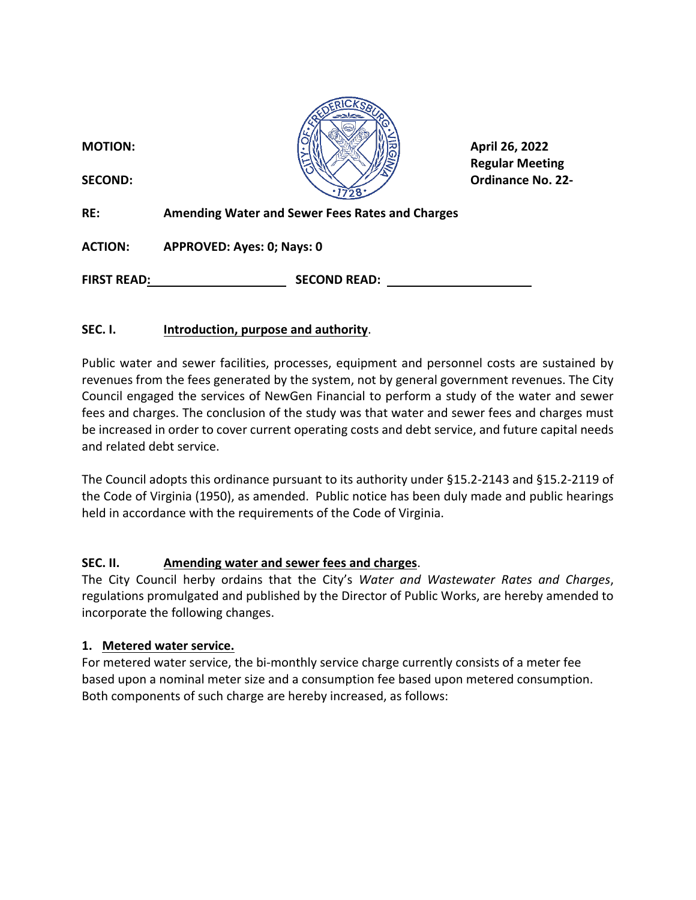

**Regular Meeting**

**RE: Amending Water and Sewer Fees Rates and Charges**

**ACTION: APPROVED: Ayes: 0; Nays: 0**

**FIRST READ: SECOND READ:** 

# **SEC. I. Introduction, purpose and authority**.

Public water and sewer facilities, processes, equipment and personnel costs are sustained by revenues from the fees generated by the system, not by general government revenues. The City Council engaged the services of NewGen Financial to perform a study of the water and sewer fees and charges. The conclusion of the study was that water and sewer fees and charges must be increased in order to cover current operating costs and debt service, and future capital needs and related debt service.

The Council adopts this ordinance pursuant to its authority under §15.2-2143 and §15.2-2119 of the Code of Virginia (1950), as amended. Public notice has been duly made and public hearings held in accordance with the requirements of the Code of Virginia.

### **SEC. II. Amending water and sewer fees and charges**.

The City Council herby ordains that the City's *Water and Wastewater Rates and Charges*, regulations promulgated and published by the Director of Public Works, are hereby amended to incorporate the following changes.

# **1. Metered water service.**

For metered water service, the bi-monthly service charge currently consists of a meter fee based upon a nominal meter size and a consumption fee based upon metered consumption. Both components of such charge are hereby increased, as follows: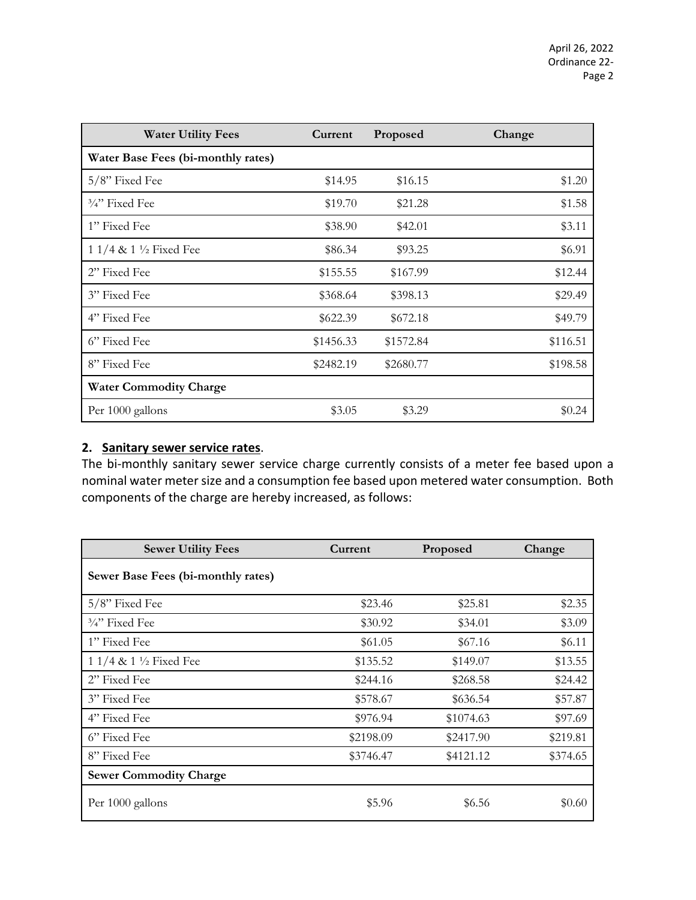| <b>Water Utility Fees</b>          | Current   | Proposed  | Change   |
|------------------------------------|-----------|-----------|----------|
| Water Base Fees (bi-monthly rates) |           |           |          |
| 5/8" Fixed Fee                     | \$14.95   | \$16.15   | \$1.20   |
| $\frac{3}{4}$ " Fixed Fee          | \$19.70   | \$21.28   | \$1.58   |
| 1" Fixed Fee                       | \$38.90   | \$42.01   | \$3.11   |
| 1 1/4 & 1 $\frac{1}{2}$ Fixed Fee  | \$86.34   | \$93.25   | \$6.91   |
| 2" Fixed Fee                       | \$155.55  | \$167.99  | \$12.44  |
| 3" Fixed Fee                       | \$368.64  | \$398.13  | \$29.49  |
| 4" Fixed Fee                       | \$622.39  | \$672.18  | \$49.79  |
| 6" Fixed Fee                       | \$1456.33 | \$1572.84 | \$116.51 |
| 8" Fixed Fee                       | \$2482.19 | \$2680.77 | \$198.58 |
| <b>Water Commodity Charge</b>      |           |           |          |
| Per 1000 gallons                   | \$3.05    | \$3.29    | \$0.24   |

# **2. Sanitary sewer service rates**.

The bi-monthly sanitary sewer service charge currently consists of a meter fee based upon a nominal water meter size and a consumption fee based upon metered water consumption. Both components of the charge are hereby increased, as follows:

| <b>Sewer Utility Fees</b>          | Current   | Proposed  | Change   |
|------------------------------------|-----------|-----------|----------|
| Sewer Base Fees (bi-monthly rates) |           |           |          |
| $5/8$ " Fixed Fee                  | \$23.46   | \$25.81   | \$2.35   |
| $\frac{3}{4}$ " Fixed Fee          | \$30.92   | \$34.01   | \$3.09   |
| 1" Fixed Fee                       | \$61.05   | \$67.16   | \$6.11   |
| 1 1/4 & 1 $\frac{1}{2}$ Fixed Fee  | \$135.52  | \$149.07  | \$13.55  |
| 2" Fixed Fee                       | \$244.16  | \$268.58  | \$24.42  |
| 3" Fixed Fee                       | \$578.67  | \$636.54  | \$57.87  |
| 4" Fixed Fee                       | \$976.94  | \$1074.63 | \$97.69  |
| 6" Fixed Fee                       | \$2198.09 | \$2417.90 | \$219.81 |
| 8" Fixed Fee                       | \$3746.47 | \$4121.12 | \$374.65 |
| <b>Sewer Commodity Charge</b>      |           |           |          |
| Per 1000 gallons                   | \$5.96    | \$6.56    | \$0.60   |